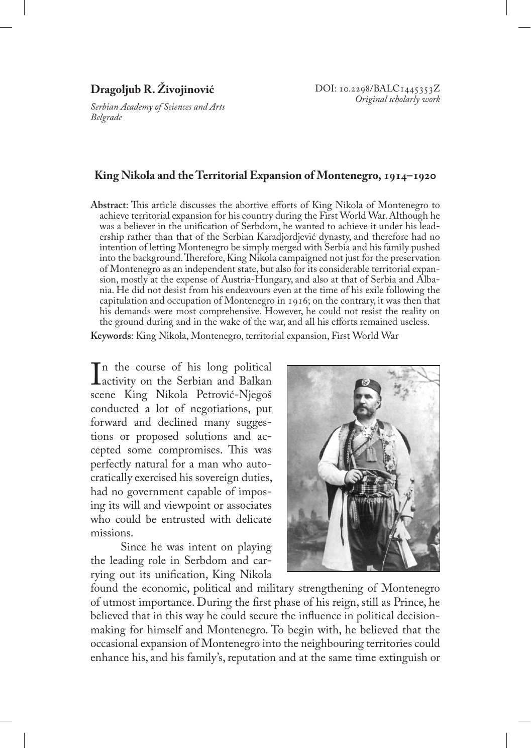## **Dragoljub R. Živojinović**

*Serbian Academy of Sciences and Arts Belgrade*

## **King Nikola and the Territorial Expansion of Montenegro, 1914–1920**

**Abstract**: This article discusses the abortive efforts of King Nikola of Montenegro to achieve territorial expansion for his country during the First World War. Although he was a believer in the unification of Serbdom, he wanted to achieve it under his leadership rather than that of the Serbian Karadjordjević dynasty, and therefore had no intention of letting Montenegro be simply merged with Serbia and his family pushed into the background. Therefore, King Nikola campaigned not just for the preservation of Montenegro as an independent state, but also for its considerable territorial expansion, mostly at the expense of Austria-Hungary, and also at that of Serbia and Albania. He did not desist from his endeavours even at the time of his exile following the capitulation and occupation of Montenegro in 1916; on the contrary, it was then that his demands were most comprehensive. However, he could not resist the reality on the ground during and in the wake of the war, and all his efforts remained useless. **Keywords**: King Nikola, Montenegro, territorial expansion, First World War

In the course of his long political<br>
activity on the Serbian and Balkan<br>
scene King Nikola Petrović-Niegoš activity on the Serbian and Balkan scene King Nikola Petrović-Njegoš conducted a lot of negotiations, put forward and declined many suggestions or proposed solutions and accepted some compromises. This was perfectly natural for a man who autocratically exercised his sovereign duties, had no government capable of imposing its will and viewpoint or associates who could be entrusted with delicate missions.

Since he was intent on playing the leading role in Serbdom and carrying out its unification, King Nikola



found the economic, political and military strengthening of Montenegro of utmost importance. During the first phase of his reign, still as Prince, he believed that in this way he could secure the influence in political decisionmaking for himself and Montenegro. To begin with, he believed that the occasional expansion of Montenegro into the neighbouring territories could enhance his, and his family's, reputation and at the same time extinguish or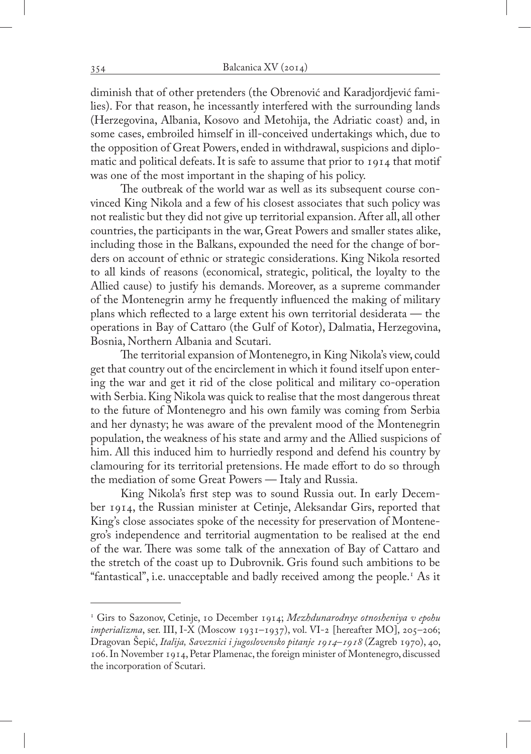diminish that of other pretenders (the Obrenović and Karadjordjević families). For that reason, he incessantly interfered with the surrounding lands (Herzegovina, Albania, Kosovo and Metohija, the Adriatic coast) and, in some cases, embroiled himself in ill-conceived undertakings which, due to the opposition of Great Powers, ended in withdrawal, suspicions and diplomatic and political defeats. It is safe to assume that prior to 1914 that motif was one of the most important in the shaping of his policy.

The outbreak of the world war as well as its subsequent course convinced King Nikola and a few of his closest associates that such policy was not realistic but they did not give up territorial expansion. After all, all other countries, the participants in the war, Great Powers and smaller states alike, including those in the Balkans, expounded the need for the change of borders on account of ethnic or strategic considerations. King Nikola resorted to all kinds of reasons (economical, strategic, political, the loyalty to the Allied cause) to justify his demands. Moreover, as a supreme commander of the Montenegrin army he frequently influenced the making of military plans which reflected to a large extent his own territorial desiderata — the operations in Bay of Cattaro (the Gulf of Kotor), Dalmatia, Herzegovina, Bosnia, Northern Albania and Scutari.

The territorial expansion of Montenegro, in King Nikola's view, could get that country out of the encirclement in which it found itself upon entering the war and get it rid of the close political and military co-operation with Serbia. King Nikola was quick to realise that the most dangerous threat to the future of Montenegro and his own family was coming from Serbia and her dynasty; he was aware of the prevalent mood of the Montenegrin population, the weakness of his state and army and the Allied suspicions of him. All this induced him to hurriedly respond and defend his country by clamouring for its territorial pretensions. He made effort to do so through the mediation of some Great Powers — Italy and Russia.

King Nikola's first step was to sound Russia out. In early December 1914, the Russian minister at Cetinje, Aleksandar Girs, reported that King's close associates spoke of the necessity for preservation of Montenegro's independence and territorial augmentation to be realised at the end of the war. There was some talk of the annexation of Bay of Cattaro and the stretch of the coast up to Dubrovnik. Gris found such ambitions to be "fantastical", i.e. unacceptable and badly received among the people.1 As it

<sup>1</sup> Girs to Sazonov, Cetinje, 10 December 1914; *Mezhdunarodnye otnosheniya v epohu imperializma*, ser. III, I-X (Moscow 1931–1937), vol. VI-2 [hereafter MO], 205–206; Dragovan Šepić, *Italija, Saveznici i jugoslovensko pitanje 1914–1918* (Zagreb 1970), 40, 106. In November 1914, Petar Plamenac, the foreign minister of Montenegro, discussed the incorporation of Scutari.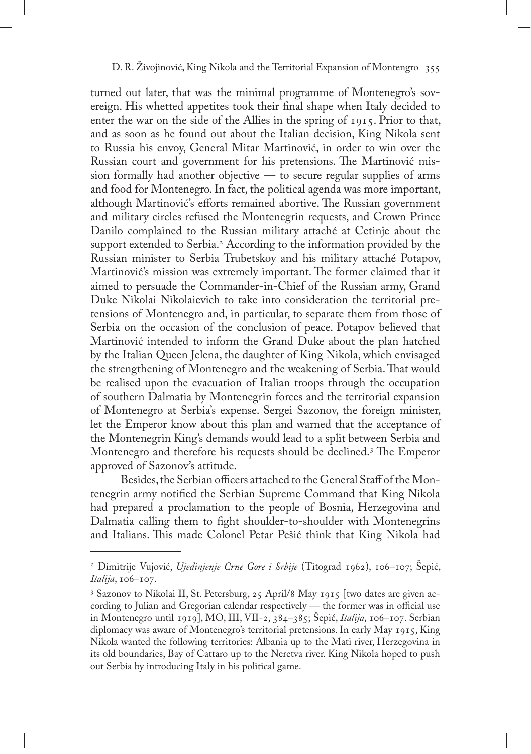turned out later, that was the minimal programme of Montenegro's sovereign. His whetted appetites took their final shape when Italy decided to enter the war on the side of the Allies in the spring of 1915. Prior to that, and as soon as he found out about the Italian decision, King Nikola sent to Russia his envoy, General Mitar Martinović, in order to win over the Russian court and government for his pretensions. The Martinović mission formally had another objective — to secure regular supplies of arms and food for Montenegro. In fact, the political agenda was more important, although Martinović's efforts remained abortive. The Russian government and military circles refused the Montenegrin requests, and Crown Prince Danilo complained to the Russian military attaché at Cetinje about the support extended to Serbia.2 According to the information provided by the Russian minister to Serbia Trubetskoy and his military attaché Potapov, Martinović's mission was extremely important. The former claimed that it aimed to persuade the Commander-in-Chief of the Russian army, Grand Duke Nikolai Nikolaievich to take into consideration the territorial pretensions of Montenegro and, in particular, to separate them from those of Serbia on the occasion of the conclusion of peace. Potapov believed that Martinović intended to inform the Grand Duke about the plan hatched by the Italian Queen Jelena, the daughter of King Nikola, which envisaged the strengthening of Montenegro and the weakening of Serbia. That would be realised upon the evacuation of Italian troops through the occupation of southern Dalmatia by Montenegrin forces and the territorial expansion of Montenegro at Serbia's expense. Sergei Sazonov, the foreign minister, let the Emperor know about this plan and warned that the acceptance of the Montenegrin King's demands would lead to a split between Serbia and Montenegro and therefore his requests should be declined.3 The Emperor approved of Sazonov's attitude.

Besides, the Serbian officers attached to the General Staff of the Montenegrin army notified the Serbian Supreme Command that King Nikola had prepared a proclamation to the people of Bosnia, Herzegovina and Dalmatia calling them to fight shoulder-to-shoulder with Montenegrins and Italians. This made Colonel Petar Pešić think that King Nikola had

<sup>2</sup> Dimitrije Vujović, *Ujedinjenje Crne Gore i Srbije* (Titograd 1962), 106–107; Šepić, *Italija*, 106–107.

<sup>3</sup> Sazonov to Nikolai II, St. Petersburg, 25 April/8 May 1915 [two dates are given according to Julian and Gregorian calendar respectively — the former was in official use in Montenegro until 1919], MO, III, VII-2, 384–385; Šepić, *Italija*, 106–107. Serbian diplomacy was aware of Montenegro's territorial pretensions. In early May 1915, King Nikola wanted the following territories: Albania up to the Mati river, Herzegovina in its old boundaries, Bay of Cattaro up to the Neretva river. King Nikola hoped to push out Serbia by introducing Italy in his political game.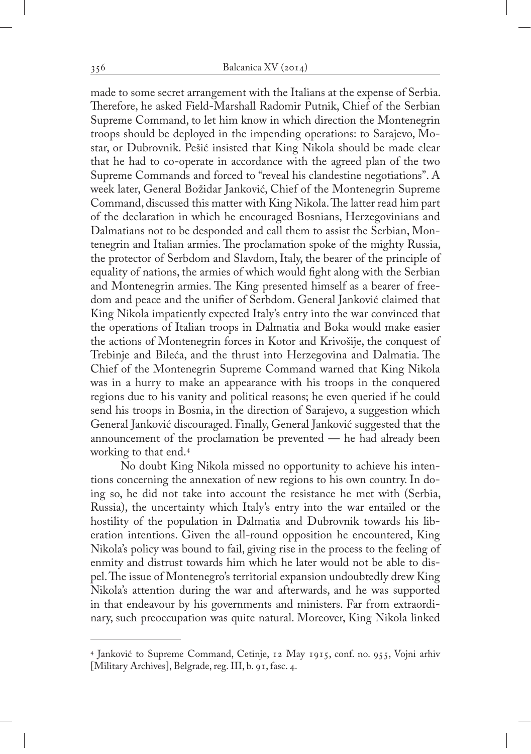made to some secret arrangement with the Italians at the expense of Serbia. Therefore, he asked Field-Marshall Radomir Putnik, Chief of the Serbian Supreme Command, to let him know in which direction the Montenegrin troops should be deployed in the impending operations: to Sarajevo, Mostar, or Dubrovnik. Pešić insisted that King Nikola should be made clear that he had to co-operate in accordance with the agreed plan of the two Supreme Commands and forced to "reveal his clandestine negotiations". A week later, General Božidar Janković, Chief of the Montenegrin Supreme Command, discussed this matter with King Nikola. The latter read him part of the declaration in which he encouraged Bosnians, Herzegovinians and Dalmatians not to be desponded and call them to assist the Serbian, Montenegrin and Italian armies. The proclamation spoke of the mighty Russia, the protector of Serbdom and Slavdom, Italy, the bearer of the principle of equality of nations, the armies of which would fight along with the Serbian and Montenegrin armies. The King presented himself as a bearer of freedom and peace and the unifier of Serbdom. General Janković claimed that King Nikola impatiently expected Italy's entry into the war convinced that the operations of Italian troops in Dalmatia and Boka would make easier the actions of Montenegrin forces in Kotor and Krivošije, the conquest of Trebinje and Bileća, and the thrust into Herzegovina and Dalmatia. The Chief of the Montenegrin Supreme Command warned that King Nikola was in a hurry to make an appearance with his troops in the conquered regions due to his vanity and political reasons; he even queried if he could send his troops in Bosnia, in the direction of Sarajevo, a suggestion which General Janković discouraged. Finally, General Janković suggested that the announcement of the proclamation be prevented — he had already been working to that end.4

No doubt King Nikola missed no opportunity to achieve his intentions concerning the annexation of new regions to his own country. In doing so, he did not take into account the resistance he met with (Serbia, Russia), the uncertainty which Italy's entry into the war entailed or the hostility of the population in Dalmatia and Dubrovnik towards his liberation intentions. Given the all-round opposition he encountered, King Nikola's policy was bound to fail, giving rise in the process to the feeling of enmity and distrust towards him which he later would not be able to dispel. The issue of Montenegro's territorial expansion undoubtedly drew King Nikola's attention during the war and afterwards, and he was supported in that endeavour by his governments and ministers. Far from extraordinary, such preoccupation was quite natural. Moreover, King Nikola linked

<sup>4</sup> Janković to Supreme Command, Cetinje, 12 May 1915, conf. no. 955, Vojni arhiv [Military Archives], Belgrade, reg. III, b. 91, fasc. 4.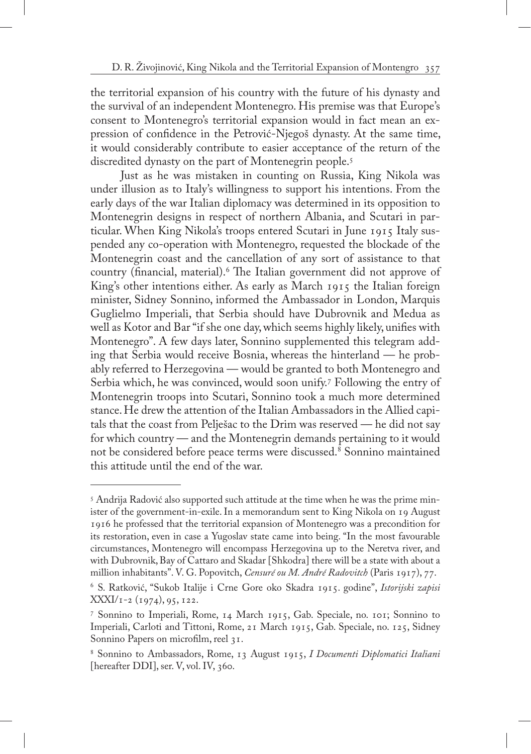the territorial expansion of his country with the future of his dynasty and the survival of an independent Montenegro. His premise was that Europe's consent to Montenegro's territorial expansion would in fact mean an expression of confidence in the Petrović-Njegoš dynasty. At the same time, it would considerably contribute to easier acceptance of the return of the discredited dynasty on the part of Montenegrin people.<sup>5</sup>

Just as he was mistaken in counting on Russia, King Nikola was under illusion as to Italy's willingness to support his intentions. From the early days of the war Italian diplomacy was determined in its opposition to Montenegrin designs in respect of northern Albania, and Scutari in particular. When King Nikola's troops entered Scutari in June 1915 Italy suspended any co-operation with Montenegro, requested the blockade of the Montenegrin coast and the cancellation of any sort of assistance to that country (financial, material).6 The Italian government did not approve of King's other intentions either. As early as March 1915 the Italian foreign minister, Sidney Sonnino, informed the Ambassador in London, Marquis Guglielmo Imperiali, that Serbia should have Dubrovnik and Medua as well as Kotor and Bar "if she one day, which seems highly likely, unifies with Montenegro". A few days later, Sonnino supplemented this telegram adding that Serbia would receive Bosnia, whereas the hinterland — he probably referred to Herzegovina — would be granted to both Montenegro and Serbia which, he was convinced, would soon unify.<sup>7</sup> Following the entry of Montenegrin troops into Scutari, Sonnino took a much more determined stance. He drew the attention of the Italian Ambassadors in the Allied capitals that the coast from Pelješac to the Drim was reserved — he did not say for which country — and the Montenegrin demands pertaining to it would not be considered before peace terms were discussed.8 Sonnino maintained this attitude until the end of the war.

 $^{\rm 5}$  Andrija Radović also supported such attitude at the time when he was the prime minister of the government-in-exile. In a memorandum sent to King Nikola on 19 August 1916 he professed that the territorial expansion of Montenegro was a precondition for its restoration, even in case a Yugoslav state came into being. "In the most favourable circumstances, Montenegro will encompass Herzegovina up to the Neretva river, and with Dubrovnik, Bay of Cattaro and Skadar [Shkodra] there will be a state with about a million inhabitants". V. G. Popovitch, *Censuré ou M. André Radovitch* (Paris 1917), 77.

<sup>6</sup> S. Ratković, "Sukob Italije i Crne Gore oko Skadra 1915. godine", *Istorijski zapisi*  $\text{XXXI/I-2}$  (1974), 95, 122.

<sup>7</sup> Sonnino to Imperiali, Rome, 14 March 1915, Gab. Speciale, no. 101; Sonnino to Imperiali, Carloti and Tittoni, Rome, 21 March 1915, Gab. Speciale, no. 125, Sidney Sonnino Papers on microfilm, reel 31.

<sup>8</sup> Sonnino to Ambassadors, Rome, 13 August 1915, *I Documenti Diplomatici Italiani* [hereafter DDI], ser. V, vol. IV, 360.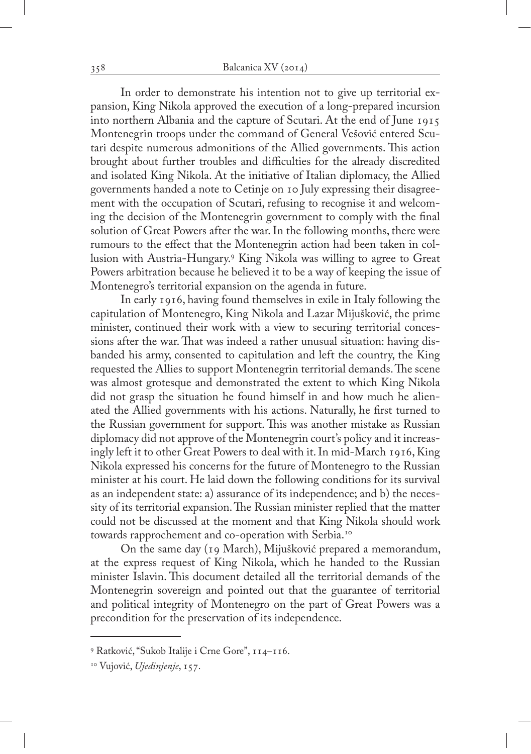In order to demonstrate his intention not to give up territorial expansion, King Nikola approved the execution of a long-prepared incursion into northern Albania and the capture of Scutari. At the end of June 1915 Montenegrin troops under the command of General Vešović entered Scutari despite numerous admonitions of the Allied governments. This action brought about further troubles and difficulties for the already discredited and isolated King Nikola. At the initiative of Italian diplomacy, the Allied governments handed a note to Cetinje on 10 July expressing their disagreement with the occupation of Scutari, refusing to recognise it and welcoming the decision of the Montenegrin government to comply with the final solution of Great Powers after the war. In the following months, there were rumours to the effect that the Montenegrin action had been taken in collusion with Austria-Hungary.9 King Nikola was willing to agree to Great Powers arbitration because he believed it to be a way of keeping the issue of Montenegro's territorial expansion on the agenda in future.

In early 1916, having found themselves in exile in Italy following the capitulation of Montenegro, King Nikola and Lazar Mijušković, the prime minister, continued their work with a view to securing territorial concessions after the war. That was indeed a rather unusual situation: having disbanded his army, consented to capitulation and left the country, the King requested the Allies to support Montenegrin territorial demands. The scene was almost grotesque and demonstrated the extent to which King Nikola did not grasp the situation he found himself in and how much he alienated the Allied governments with his actions. Naturally, he first turned to the Russian government for support. This was another mistake as Russian diplomacy did not approve of the Montenegrin court's policy and it increasingly left it to other Great Powers to deal with it. In mid-March 1916, King Nikola expressed his concerns for the future of Montenegro to the Russian minister at his court. He laid down the following conditions for its survival as an independent state: a) assurance of its independence; and b) the necessity of its territorial expansion. The Russian minister replied that the matter could not be discussed at the moment and that King Nikola should work towards rapprochement and co-operation with Serbia.10

On the same day (19 March), Mijušković prepared a memorandum, at the express request of King Nikola, which he handed to the Russian minister Islavin. This document detailed all the territorial demands of the Montenegrin sovereign and pointed out that the guarantee of territorial and political integrity of Montenegro on the part of Great Powers was a precondition for the preservation of its independence.

<sup>9</sup> Ratković, "Sukob Italije i Crne Gore", 114–116.

<sup>10</sup> Vujović, *Ujedinjenje*, 157.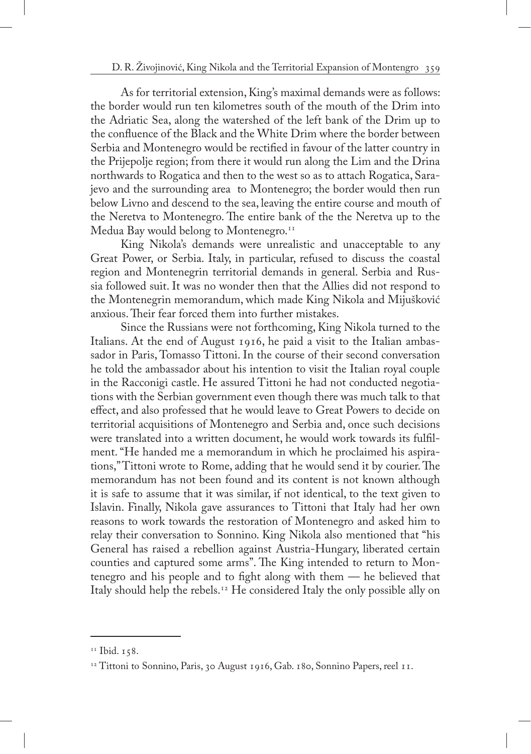As for territorial extension, King's maximal demands were as follows: the border would run ten kilometres south of the mouth of the Drim into the Adriatic Sea, along the watershed of the left bank of the Drim up to the confluence of the Black and the White Drim where the border between Serbia and Montenegro would be rectified in favour of the latter country in the Prijepolje region; from there it would run along the Lim and the Drina northwards to Rogatica and then to the west so as to attach Rogatica, Sarajevo and the surrounding area to Montenegro; the border would then run below Livno and descend to the sea, leaving the entire course and mouth of the Neretva to Montenegro. The entire bank of the the Neretva up to the Medua Bay would belong to Montenegro.<sup>11</sup>

King Nikola's demands were unrealistic and unacceptable to any Great Power, or Serbia. Italy, in particular, refused to discuss the coastal region and Montenegrin territorial demands in general. Serbia and Russia followed suit. It was no wonder then that the Allies did not respond to the Montenegrin memorandum, which made King Nikola and Mijušković anxious. Their fear forced them into further mistakes.

Since the Russians were not forthcoming, King Nikola turned to the Italians. At the end of August 1916, he paid a visit to the Italian ambassador in Paris, Tomasso Tittoni. In the course of their second conversation he told the ambassador about his intention to visit the Italian royal couple in the Racconigi castle. He assured Tittoni he had not conducted negotiations with the Serbian government even though there was much talk to that effect, and also professed that he would leave to Great Powers to decide on territorial acquisitions of Montenegro and Serbia and, once such decisions were translated into a written document, he would work towards its fulfilment. "He handed me a memorandum in which he proclaimed his aspirations," Tittoni wrote to Rome, adding that he would send it by courier. The memorandum has not been found and its content is not known although it is safe to assume that it was similar, if not identical, to the text given to Islavin. Finally, Nikola gave assurances to Tittoni that Italy had her own reasons to work towards the restoration of Montenegro and asked him to relay their conversation to Sonnino. King Nikola also mentioned that "his General has raised a rebellion against Austria-Hungary, liberated certain counties and captured some arms". The King intended to return to Montenegro and his people and to fight along with them — he believed that Italy should help the rebels.<sup>12</sup> He considered Italy the only possible ally on

<sup>&</sup>lt;sup>11</sup> Ibid. 158.

<sup>&</sup>lt;sup>12</sup> Tittoni to Sonnino, Paris, 30 August 1916, Gab. 180, Sonnino Papers, reel 11.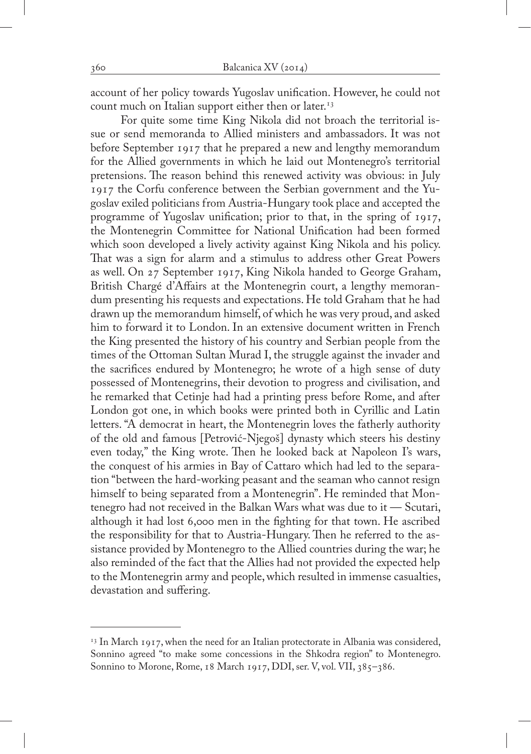account of her policy towards Yugoslav unification. However, he could not count much on Italian support either then or later.<sup>13</sup>

For quite some time King Nikola did not broach the territorial issue or send memoranda to Allied ministers and ambassadors. It was not before September 1917 that he prepared a new and lengthy memorandum for the Allied governments in which he laid out Montenegro's territorial pretensions. The reason behind this renewed activity was obvious: in July 1917 the Corfu conference between the Serbian government and the Yugoslav exiled politicians from Austria-Hungary took place and accepted the programme of Yugoslav unification; prior to that, in the spring of 1917, the Montenegrin Committee for National Unification had been formed which soon developed a lively activity against King Nikola and his policy. That was a sign for alarm and a stimulus to address other Great Powers as well. On 27 September 1917, King Nikola handed to George Graham, British Chargé d'Affairs at the Montenegrin court, a lengthy memorandum presenting his requests and expectations. He told Graham that he had drawn up the memorandum himself, of which he was very proud, and asked him to forward it to London. In an extensive document written in French the King presented the history of his country and Serbian people from the times of the Ottoman Sultan Murad I, the struggle against the invader and the sacrifices endured by Montenegro; he wrote of a high sense of duty possessed of Montenegrins, their devotion to progress and civilisation, and he remarked that Cetinje had had a printing press before Rome, and after London got one, in which books were printed both in Cyrillic and Latin letters. "A democrat in heart, the Montenegrin loves the fatherly authority of the old and famous [Petrović-Njegoš] dynasty which steers his destiny even today," the King wrote. Then he looked back at Napoleon I's wars, the conquest of his armies in Bay of Cattaro which had led to the separation "between the hard-working peasant and the seaman who cannot resign himself to being separated from a Montenegrin". He reminded that Montenegro had not received in the Balkan Wars what was due to it — Scutari, although it had lost 6,000 men in the fighting for that town. He ascribed the responsibility for that to Austria-Hungary. Then he referred to the assistance provided by Montenegro to the Allied countries during the war; he also reminded of the fact that the Allies had not provided the expected help to the Montenegrin army and people, which resulted in immense casualties, devastation and suffering.

 $13$  In March 1917, when the need for an Italian protectorate in Albania was considered, Sonnino agreed "to make some concessions in the Shkodra region" to Montenegro. Sonnino to Morone, Rome, 18 March 1917, DDI, ser. V, vol. VII, 385-386.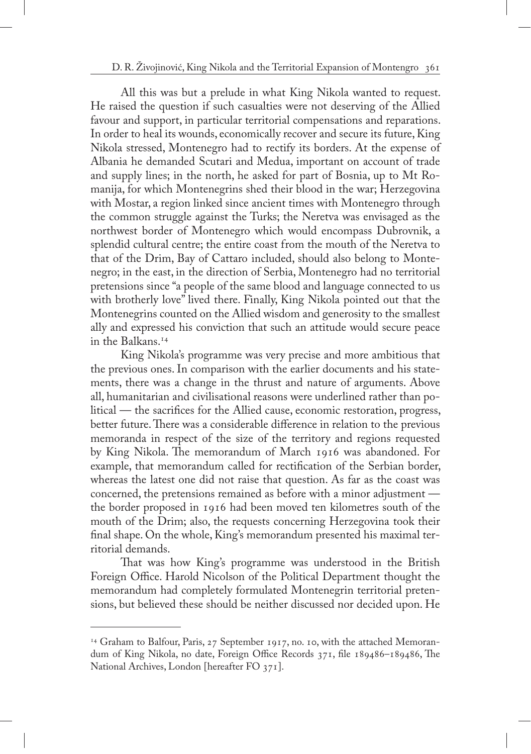All this was but a prelude in what King Nikola wanted to request. He raised the question if such casualties were not deserving of the Allied favour and support, in particular territorial compensations and reparations. In order to heal its wounds, economically recover and secure its future, King Nikola stressed, Montenegro had to rectify its borders. At the expense of Albania he demanded Scutari and Medua, important on account of trade and supply lines; in the north, he asked for part of Bosnia, up to Mt Romanija, for which Montenegrins shed their blood in the war; Herzegovina with Mostar, a region linked since ancient times with Montenegro through the common struggle against the Turks; the Neretva was envisaged as the northwest border of Montenegro which would encompass Dubrovnik, a splendid cultural centre; the entire coast from the mouth of the Neretva to that of the Drim, Bay of Cattaro included, should also belong to Montenegro; in the east, in the direction of Serbia, Montenegro had no territorial pretensions since "a people of the same blood and language connected to us with brotherly love" lived there. Finally, King Nikola pointed out that the Montenegrins counted on the Allied wisdom and generosity to the smallest ally and expressed his conviction that such an attitude would secure peace in the Balkans.14

King Nikola's programme was very precise and more ambitious that the previous ones. In comparison with the earlier documents and his statements, there was a change in the thrust and nature of arguments. Above all, humanitarian and civilisational reasons were underlined rather than political — the sacrifices for the Allied cause, economic restoration, progress, better future. There was a considerable difference in relation to the previous memoranda in respect of the size of the territory and regions requested by King Nikola. The memorandum of March 1916 was abandoned. For example, that memorandum called for rectification of the Serbian border, whereas the latest one did not raise that question. As far as the coast was concerned, the pretensions remained as before with a minor adjustment the border proposed in 1916 had been moved ten kilometres south of the mouth of the Drim; also, the requests concerning Herzegovina took their final shape. On the whole, King's memorandum presented his maximal territorial demands.

That was how King's programme was understood in the British Foreign Office. Harold Nicolson of the Political Department thought the memorandum had completely formulated Montenegrin territorial pretensions, but believed these should be neither discussed nor decided upon. He

<sup>&</sup>lt;sup>14</sup> Graham to Balfour, Paris, 27 September 1917, no. 10, with the attached Memorandum of King Nikola, no date, Foreign Office Records 371, file 189486–189486, The National Archives, London [hereafter FO 371].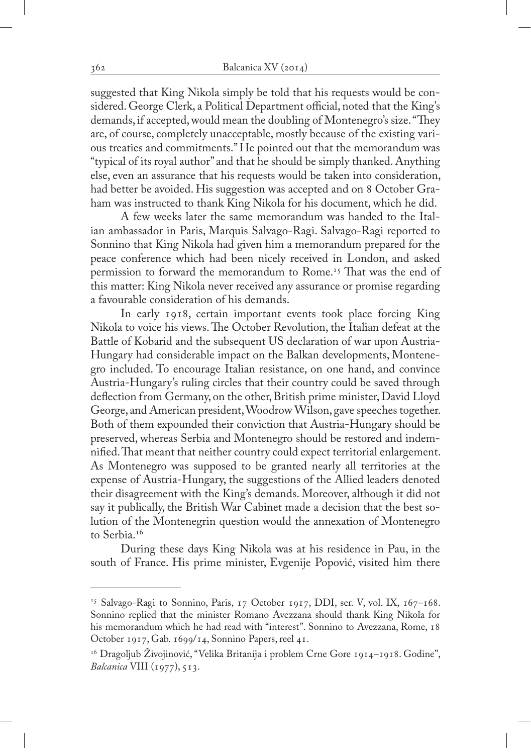suggested that King Nikola simply be told that his requests would be considered. George Clerk, a Political Department official, noted that the King's demands, if accepted, would mean the doubling of Montenegro's size. "They are, of course, completely unacceptable, mostly because of the existing various treaties and commitments." He pointed out that the memorandum was "typical of its royal author" and that he should be simply thanked. Anything else, even an assurance that his requests would be taken into consideration, had better be avoided. His suggestion was accepted and on 8 October Graham was instructed to thank King Nikola for his document, which he did.

A few weeks later the same memorandum was handed to the Italian ambassador in Paris, Marquis Salvago-Ragi. Salvago-Ragi reported to Sonnino that King Nikola had given him a memorandum prepared for the peace conference which had been nicely received in London, and asked permission to forward the memorandum to Rome.<sup>15</sup> That was the end of this matter: King Nikola never received any assurance or promise regarding a favourable consideration of his demands.

In early 1918, certain important events took place forcing King Nikola to voice his views. The October Revolution, the Italian defeat at the Battle of Kobarid and the subsequent US declaration of war upon Austria-Hungary had considerable impact on the Balkan developments, Montenegro included. To encourage Italian resistance, on one hand, and convince Austria-Hungary's ruling circles that their country could be saved through deflection from Germany, on the other, British prime minister, David Lloyd George, and American president, Woodrow Wilson, gave speeches together. Both of them expounded their conviction that Austria-Hungary should be preserved, whereas Serbia and Montenegro should be restored and indemnified. That meant that neither country could expect territorial enlargement. As Montenegro was supposed to be granted nearly all territories at the expense of Austria-Hungary, the suggestions of the Allied leaders denoted their disagreement with the King's demands. Moreover, although it did not say it publically, the British War Cabinet made a decision that the best solution of the Montenegrin question would the annexation of Montenegro to Serbia.<sup>16</sup>

During these days King Nikola was at his residence in Pau, in the south of France. His prime minister, Evgenije Popović, visited him there

<sup>&</sup>lt;sup>15</sup> Salvago-Ragi to Sonnino, Paris, 17 October 1917, DDI, ser. V, vol. IX, 167-168. Sonnino replied that the minister Romano Avezzana should thank King Nikola for his memorandum which he had read with "interest". Sonnino to Avezzana, Rome, 18 October 1917, Gab. 1699/14, Sonnino Papers, reel 41.

<sup>&</sup>lt;sup>16</sup> Dragoljub Živojinović, "Velika Britanija i problem Crne Gore 1914–1918. Godine", *Balcanica* VIII (1977), 513.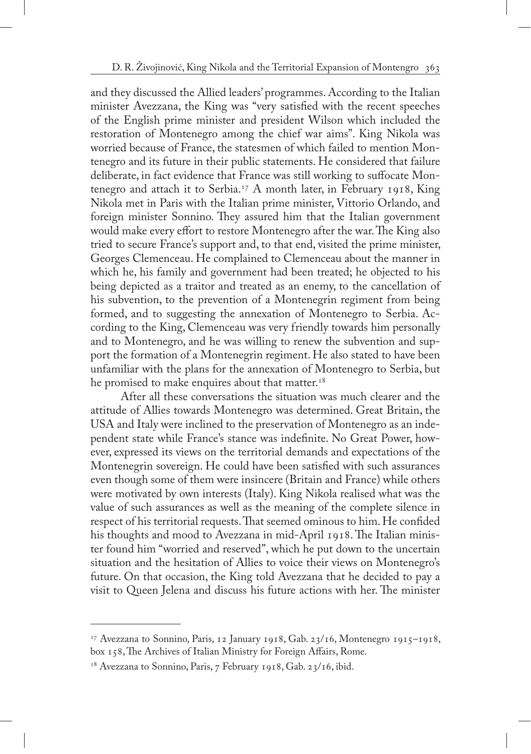and they discussed the Allied leaders' programmes. According to the Italian minister Avezzana, the King was "very satisfied with the recent speeches of the English prime minister and president Wilson which included the restoration of Montenegro among the chief war aims". King Nikola was worried because of France, the statesmen of which failed to mention Montenegro and its future in their public statements. He considered that failure deliberate, in fact evidence that France was still working to suffocate Montenegro and attach it to Serbia.17 A month later, in February 1918, King Nikola met in Paris with the Italian prime minister, Vittorio Orlando, and foreign minister Sonnino. They assured him that the Italian government would make every effort to restore Montenegro after the war. The King also tried to secure France's support and, to that end, visited the prime minister, Georges Clemenceau. He complained to Clemenceau about the manner in which he, his family and government had been treated; he objected to his being depicted as a traitor and treated as an enemy, to the cancellation of his subvention, to the prevention of a Montenegrin regiment from being formed, and to suggesting the annexation of Montenegro to Serbia. According to the King, Clemenceau was very friendly towards him personally and to Montenegro, and he was willing to renew the subvention and support the formation of a Montenegrin regiment. He also stated to have been unfamiliar with the plans for the annexation of Montenegro to Serbia, but he promised to make enquires about that matter.<sup>18</sup>

After all these conversations the situation was much clearer and the attitude of Allies towards Montenegro was determined. Great Britain, the USA and Italy were inclined to the preservation of Montenegro as an independent state while France's stance was indefinite. No Great Power, however, expressed its views on the territorial demands and expectations of the Montenegrin sovereign. He could have been satisfied with such assurances even though some of them were insincere (Britain and France) while others were motivated by own interests (Italy). King Nikola realised what was the value of such assurances as well as the meaning of the complete silence in respect of his territorial requests. That seemed ominous to him. He confided his thoughts and mood to Avezzana in mid-April 1918. The Italian minister found him "worried and reserved", which he put down to the uncertain situation and the hesitation of Allies to voice their views on Montenegro's future. On that occasion, the King told Avezzana that he decided to pay a visit to Queen Jelena and discuss his future actions with her. The minister

 $17$  Avezzana to Sonnino, Paris, 12 January 1918, Gab. 23/16, Montenegro 1915–1918, box 158, The Archives of Italian Ministry for Foreign Affairs, Rome.

<sup>&</sup>lt;sup>18</sup> Avezzana to Sonnino, Paris, 7 February 1918, Gab. 23/16, ibid.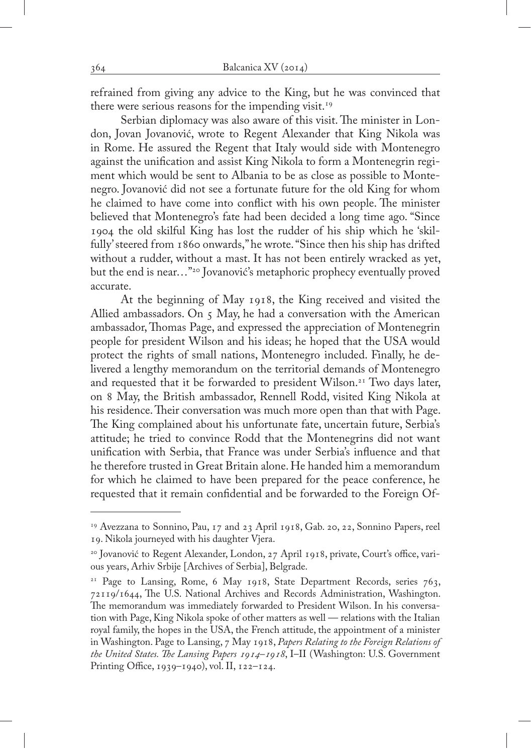refrained from giving any advice to the King, but he was convinced that there were serious reasons for the impending visit.<sup>19</sup>

Serbian diplomacy was also aware of this visit. The minister in London, Jovan Jovanović, wrote to Regent Alexander that King Nikola was in Rome. He assured the Regent that Italy would side with Montenegro against the unification and assist King Nikola to form a Montenegrin regiment which would be sent to Albania to be as close as possible to Montenegro. Jovanović did not see a fortunate future for the old King for whom he claimed to have come into conflict with his own people. The minister believed that Montenegro's fate had been decided a long time ago. "Since 1904 the old skilful King has lost the rudder of his ship which he 'skilfully' steered from 1860 onwards," he wrote. "Since then his ship has drifted without a rudder, without a mast. It has not been entirely wracked as yet, but the end is near…"20 Jovanović's metaphoric prophecy eventually proved accurate.

At the beginning of May 1918, the King received and visited the Allied ambassadors. On 5 May, he had a conversation with the American ambassador, Thomas Page, and expressed the appreciation of Montenegrin people for president Wilson and his ideas; he hoped that the USA would protect the rights of small nations, Montenegro included. Finally, he delivered a lengthy memorandum on the territorial demands of Montenegro and requested that it be forwarded to president Wilson.<sup>21</sup> Two days later, on 8 May, the British ambassador, Rennell Rodd, visited King Nikola at his residence. Their conversation was much more open than that with Page. The King complained about his unfortunate fate, uncertain future, Serbia's attitude; he tried to convince Rodd that the Montenegrins did not want unification with Serbia, that France was under Serbia's influence and that he therefore trusted in Great Britain alone. He handed him a memorandum for which he claimed to have been prepared for the peace conference, he requested that it remain confidential and be forwarded to the Foreign Of-

<sup>19</sup> Avezzana to Sonnino, Pau, 17 and 23 April 1918, Gab. 20, 22, Sonnino Papers, reel 19. Nikola journeyed with his daughter Vjera.

<sup>&</sup>lt;sup>20</sup> Jovanović to Regent Alexander, London, 27 April 1918, private, Court's office, various years, Arhiv Srbije [Archives of Serbia], Belgrade.

<sup>&</sup>lt;sup>21</sup> Page to Lansing, Rome, 6 May 1918, State Department Records, series 763, 72119/1644, The U.S. National Archives and Records Administration, Washington. The memorandum was immediately forwarded to President Wilson. In his conversation with Page, King Nikola spoke of other matters as well — relations with the Italian royal family, the hopes in the USA, the French attitude, the appointment of a minister in Washington. Page to Lansing, 7 May 1918, *Papers Relating to the Foreign Relations of the United States. The Lansing Papers 1914–1918*, I–II (Washington: U.S. Government Printing Office, 1939–1940), vol. II, 122–124.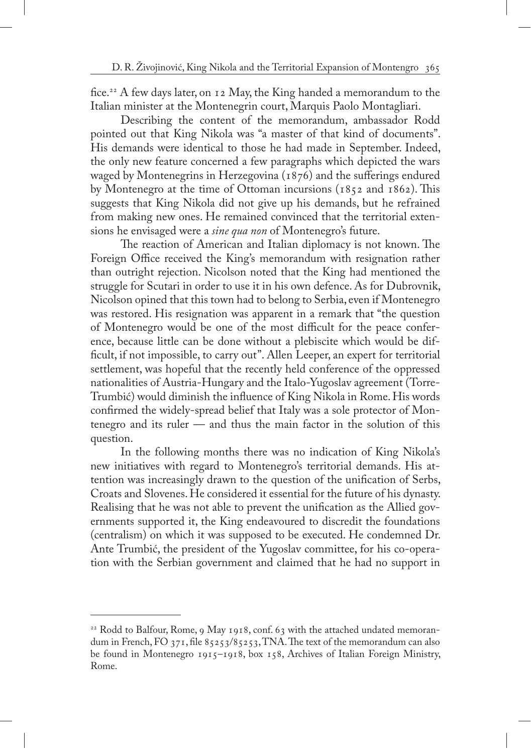fice.22 A few days later, on 12 May, the King handed a memorandum to the Italian minister at the Montenegrin court, Marquis Paolo Montagliari.

Describing the content of the memorandum, ambassador Rodd pointed out that King Nikola was "a master of that kind of documents". His demands were identical to those he had made in September. Indeed, the only new feature concerned a few paragraphs which depicted the wars waged by Montenegrins in Herzegovina (1876) and the sufferings endured by Montenegro at the time of Ottoman incursions (1852 and 1862). This suggests that King Nikola did not give up his demands, but he refrained from making new ones. He remained convinced that the territorial extensions he envisaged were a *sine qua non* of Montenegro's future.

The reaction of American and Italian diplomacy is not known. The Foreign Office received the King's memorandum with resignation rather than outright rejection. Nicolson noted that the King had mentioned the struggle for Scutari in order to use it in his own defence. As for Dubrovnik, Nicolson opined that this town had to belong to Serbia, even if Montenegro was restored. His resignation was apparent in a remark that "the question of Montenegro would be one of the most difficult for the peace conference, because little can be done without a plebiscite which would be difficult, if not impossible, to carry out". Allen Leeper, an expert for territorial settlement, was hopeful that the recently held conference of the oppressed nationalities of Austria-Hungary and the Italo-Yugoslav agreement (Torre-Trumbić) would diminish the influence of King Nikola in Rome. His words confirmed the widely-spread belief that Italy was a sole protector of Montenegro and its ruler — and thus the main factor in the solution of this question.

In the following months there was no indication of King Nikola's new initiatives with regard to Montenegro's territorial demands. His attention was increasingly drawn to the question of the unification of Serbs, Croats and Slovenes. He considered it essential for the future of his dynasty. Realising that he was not able to prevent the unification as the Allied governments supported it, the King endeavoured to discredit the foundations (centralism) on which it was supposed to be executed. He condemned Dr. Ante Trumbić, the president of the Yugoslav committee, for his co-operation with the Serbian government and claimed that he had no support in

<sup>&</sup>lt;sup>22</sup> Rodd to Balfour, Rome, 9 May 1918, conf. 63 with the attached undated memorandum in French, FO 371, file 85253/85253, TNA. The text of the memorandum can also be found in Montenegro 1915–1918, box 158, Archives of Italian Foreign Ministry, Rome.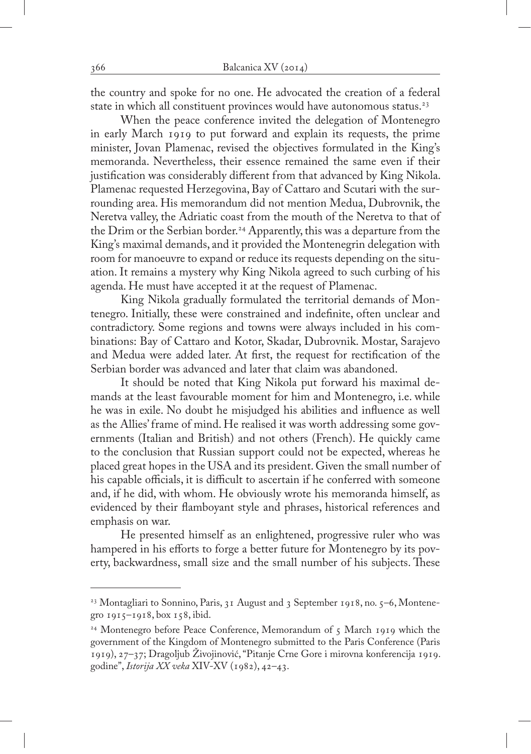the country and spoke for no one. He advocated the creation of a federal state in which all constituent provinces would have autonomous status.<sup>23</sup>

When the peace conference invited the delegation of Montenegro in early March 1919 to put forward and explain its requests, the prime minister, Jovan Plamenac, revised the objectives formulated in the King's memoranda. Nevertheless, their essence remained the same even if their justification was considerably different from that advanced by King Nikola. Plamenac requested Herzegovina, Bay of Cattaro and Scutari with the surrounding area. His memorandum did not mention Medua, Dubrovnik, the Neretva valley, the Adriatic coast from the mouth of the Neretva to that of the Drim or the Serbian border.<sup>24</sup> Apparently, this was a departure from the King's maximal demands, and it provided the Montenegrin delegation with room for manoeuvre to expand or reduce its requests depending on the situation. It remains a mystery why King Nikola agreed to such curbing of his agenda. He must have accepted it at the request of Plamenac.

King Nikola gradually formulated the territorial demands of Montenegro. Initially, these were constrained and indefinite, often unclear and contradictory. Some regions and towns were always included in his combinations: Bay of Cattaro and Kotor, Skadar, Dubrovnik. Mostar, Sarajevo and Medua were added later. At first, the request for rectification of the Serbian border was advanced and later that claim was abandoned.

It should be noted that King Nikola put forward his maximal demands at the least favourable moment for him and Montenegro, i.e. while he was in exile. No doubt he misjudged his abilities and influence as well as the Allies' frame of mind. He realised it was worth addressing some governments (Italian and British) and not others (French). He quickly came to the conclusion that Russian support could not be expected, whereas he placed great hopes in the USA and its president. Given the small number of his capable officials, it is difficult to ascertain if he conferred with someone and, if he did, with whom. He obviously wrote his memoranda himself, as evidenced by their flamboyant style and phrases, historical references and emphasis on war.

He presented himself as an enlightened, progressive ruler who was hampered in his efforts to forge a better future for Montenegro by its poverty, backwardness, small size and the small number of his subjects. These

<sup>&</sup>lt;sup>23</sup> Montagliari to Sonnino, Paris, 31 August and 3 September 1918, no.  $5-6$ , Montenegro 1915–1918, box 158, ibid.

<sup>&</sup>lt;sup>24</sup> Montenegro before Peace Conference, Memorandum of 5 March 1919 which the government of the Kingdom of Montenegro submitted to the Paris Conference (Paris 1919), 27–37; Dragoljub Živojinović, "Pitanje Crne Gore i mirovna konferencija 1919. godine", *Istorija XX veka* XIV-XV (1982), 42–43.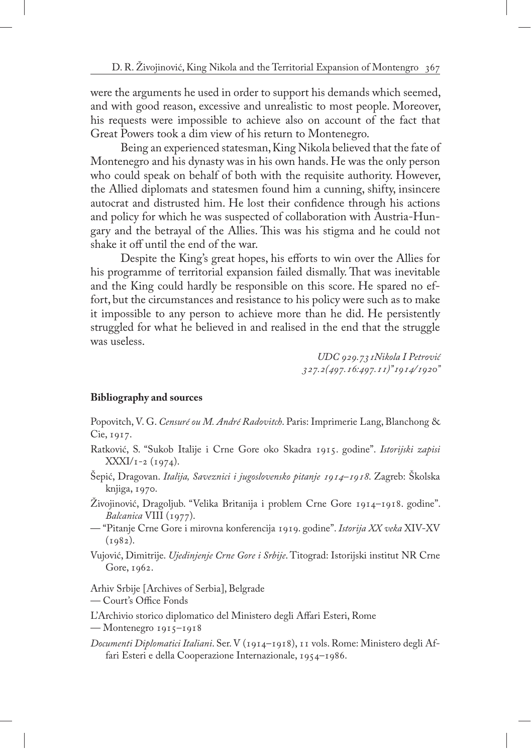were the arguments he used in order to support his demands which seemed, and with good reason, excessive and unrealistic to most people. Moreover, his requests were impossible to achieve also on account of the fact that Great Powers took a dim view of his return to Montenegro.

Being an experienced statesman, King Nikola believed that the fate of Montenegro and his dynasty was in his own hands. He was the only person who could speak on behalf of both with the requisite authority. However, the Allied diplomats and statesmen found him a cunning, shifty, insincere autocrat and distrusted him. He lost their confidence through his actions and policy for which he was suspected of collaboration with Austria-Hungary and the betrayal of the Allies. This was his stigma and he could not shake it off until the end of the war.

Despite the King's great hopes, his efforts to win over the Allies for his programme of territorial expansion failed dismally. That was inevitable and the King could hardly be responsible on this score. He spared no effort, but the circumstances and resistance to his policy were such as to make it impossible to any person to achieve more than he did. He persistently struggled for what he believed in and realised in the end that the struggle was useless.

> *UDC 929.731Nikola I Petrović 327.2(497.16:497.11)"1914/1920"*

## **Bibliography and sources**

Popovitch, V. G. *Censuré ou M. André Radovitch*. Paris: Imprimerie Lang, Blanchong & Cie, 1917.

- Ratković, S. "Sukob Italije i Crne Gore oko Skadra 1915. godine". *Istorijski zapisi*  $\text{XXXI/I-2}$  (1974).
- Šepić, Dragovan. *Italija, Saveznici i jugoslovensko pitanje 1914–1918*. Zagreb: Školska knjiga, 1970.
- Živojinović, Dragoljub. "Velika Britanija i problem Crne Gore 1914–1918. godine". *Balcanica* VIII (1977).
- "Pitanje Crne Gore i mirovna konferencija 1919. godine". *Istorija XX veka* XIV-XV  $(1982)$ .
- Vujović, Dimitrije. *Ujedinjenje Crne Gore i Srbije*. Titograd: Istorijski institut NR Crne Gore, 1962.

Arhiv Srbije [Archives of Serbia], Belgrade

— Court's Office Fonds

L'Archivio storico diplomatico del Ministero degli Affari Esteri, Rome

— Montenegro 1915–1918

*Documenti Diplomatici Italiani*. Ser. V (1914–1918), 11 vols. Rome: Ministero degli Affari Esteri e della Cooperazione Internazionale, 1954–1986.